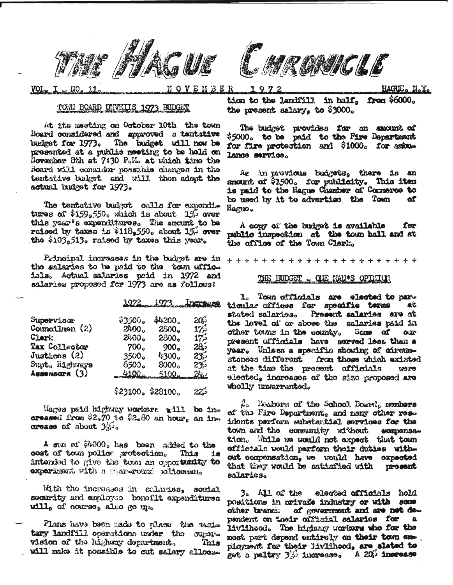



VOI<sub>12</sub>

ENBER

HAGUE. N.Y.

## TOM BOARD UNVEITS 1973 BUDGET

At its mesting on October 10th the town Board considered and approved a tentative The budget will now be budget for 1973. presented at a public meeting to be held on November 8th at 7:30 Pollo at which time the Board will consider possible changes in the tentative budget and will then adopt the actual budget for 1973.

The tentative budgot calls for expenditures of  $$159,550$ , which is about  $15\%$  over this year's expenditures. The amount to be raised by taxes is \$118,550. shout 15% over the \$103,513. raised by taxes this year.

Principal increases in the budget are in the salaries to be paid to the town affice isls. Actual salaries paid in 1972 and salaries proposed for 1973 are as follows?

|                    | 1972 1973         |                   | Increase     |
|--------------------|-------------------|-------------------|--------------|
| Supervisor         | \$3500.           | \$4200.           | 200          |
| Councillmen $(2)$  | 2400.             | 2500 <sub>n</sub> | $17\%$       |
| Clerk:             | 2400.             | 2800.             | 17.7         |
| Tax Collector      | 700 <sub>o</sub>  | 900.              | 283          |
| Justices (2)       | 3500.             | 4300.             | $23^{\circ}$ |
| Supt. Highways     | 6500.             | 8000 <sub>o</sub> | 235          |
| $A$ ssensars $(3)$ | $4100 -$          | $5100 -$          | <u>24. s</u> |
|                    | \$23100. \$28100. |                   |              |

Wages paid highway workers will be inoreased from  $92.70$  to  $92.80$  an hour, an in- $\alpha$  as  $\alpha$  about  $\frac{1}{2}$ ,

A sum of \$4000. has been added to the cost of town police protoction. This  $18<sub>1</sub>$ intended to give the town an opportunity to experiment with a goar-round policeman.

With the increases in salaries, social security and employee benefit expenditures will, of course, also go up.

Plans have been nade to place the sanitary landfill operations under the supervision of the highway department. This will make it possible to cut salary alloca-

tion to the landfill in half. from \$6000. the present salary, to \$3000.

The budget provides for an amount of \$5000. to be paid to the Fire Department for fire protection and \$1000. for astulance service.

As in movious budgets. there is an amount of \$1500。 for publicity. This item is paid to the Hague Chamber of Commerce to be used by it to advertise the Town **of** Harve.

A conv of the budget is available for public inspection at the town hall and at the office of the Town Clark.

## THE BUDGET - OIE MAN'S OPTITUDE

1. Town officials are elected to particular offices for specific terms aî. stated salaries. Present salaries are at the level of or sbose the salaries raid in other towns in the county. Same of  $CUD$ present officials have served less than a year. Unless a specific showing of circumstances different from those which existed at the time the present officials orow elected, increases of the size proposed are wholly unwarranted.

 $\beta$ . Nembors of the School Board, members of the Fire Department, and many other rese idents parform substantial services for the town and the community without @Gmpensation. While we would not expect that town afficials would parform thoir duties without compensation, we would have expected that they would be satiafied with present salaries.

 $3.$   $\lambda$   $\lambda$   $\alpha$  the elected officials hold positions in private industry or with some other tranch of government and are not dependent on their official salaries for  $\mathbf{a}$ liviihood. The highway workers who for the most part depend entirely on their town employment for their livilheod, are slated to get a paltry 3% increase. A 20% increase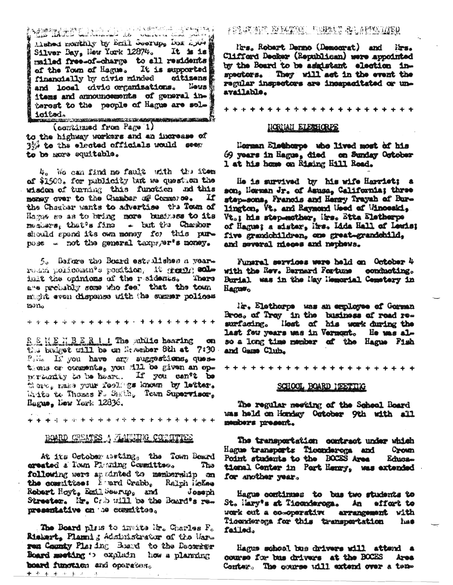Mission of the matrix of the matrix of the control of the control of the control of the control of the control of the control of the control of the control of the control of the control of the control of the control of the Silver Bay, New York 12874. It is is mailed free-of-charge to all residents of the Town of Hague. It is supported financially by civic minded citizens Neus **N** and local wivie creamisations. itams and announcements of general interest to the people of Hague are solicited. ·<br>1990年19月10日 - 1990年10月10日 - 1990年10月10日 - 1990年10月10日

(combinated from Page 1) to the highway workers and an increase of We to the elected officials would seem to be more equitable.

4. We can find no fault with the item of \$1500. for publicity tat we quest on the wisdom of turning this function and this mensy over to the Chamber of Common .. If the Charles wants to advertise the Town of Hames so as to bring more business to its menters, that's fine - but the Chamber should spend its own money for this purnese - not the general taxpager's noney.

5. Before the Board estralishes a vearround policemen's position, it great; colimit the opinions of the residence. There are prehably some who fee. that the town makt even dispense with the summer polices man.

RENEWBER 1 1 The sublic bearing **CO** the brainet will be on My senber 8th at 7:30. Polin II you have any suggestions, questions or comments, you dill be given an oppertunity to be heard. If you can't be there, make your feelings known by letter. Write to Thomas F. Smith, Tewn Supervisor. Rague, New York 12836.

# BOARD CREATES A ANNING COMMUTES

At its October Asting, the Town Board created a Town Planning Committee. The following were apudinted to membership on the committee: E-mard Crabb, Ralph HeKee Robert Hoyt, Emil Seerup, and Joseph Streeter. Mr. Cab will be the Board's representative on the committee.

The Board plass to imute Mr. Charles F. Riskart, Plannig Administrator of the Warren County Play ing Board to the December Board meeting 1 explain how a planning board function and operator. ◆ チ キ キ キ エ

FERINAN MELINING PULANG ALAPPALIED

Mrs. Robart Denno (Democrat) and lirs. Clifford Decker (Republican) were appointed by the Board to be assistant election inspectors. They will act in the event the regular inspectors are incapacitated or unavailable.

#### NORMAN ELECTIONES

Norman Elethorpe who lived most of his 69 years in Hague, died on Sunday October 1 at his home on Rising Hill Road.

He is survived by his wife Harriet: a son, Norman Jr. of Asusa, California; three step-sons, Francis and Henry Trayah of Burlington, Vt. and Raymond Used of Winceski, Vt.; his step-mother, Irs. Etta Eletherpe of Hague; a sister, Mrs. Lida Hall of Lewis; five grandchildren, one great-grandchild, and sweral mieces and nephews.

Funaral services were held on October 4 with the Rev. Bernard Fortune conducting. Burial was in the May Memorial Cemetery in Hague.

Mr. Elethorpe was an employee of Gorman Bros, of Troy in the business of road relast few years was in Vernont. He was also a long time member of the Hague Fish and Game Club.

\*\*\*\*\*\*\*\*\*\*\*\*\*\*\*\*\*\*\*\*\*\*

#### SCHOOL BOARD NEETING

The regular meeting of the Scheel Board was held on Honday October 9th with all members present.

The transportation contract under which Hague transports Tieonderoma and Crown Point students to the BOCES Area Educe tional Center in Part Henry, was extended for another year.

Hague continues to bus two students to St. Hary's at Tiecnderoga. An effort to work out a co-operative arrangement with Ticonderega for this transportation **THE** failed.

Hagus school bus drivers will attend a course for bus drivers at the BOCES Area Contex. The course will extend over a ten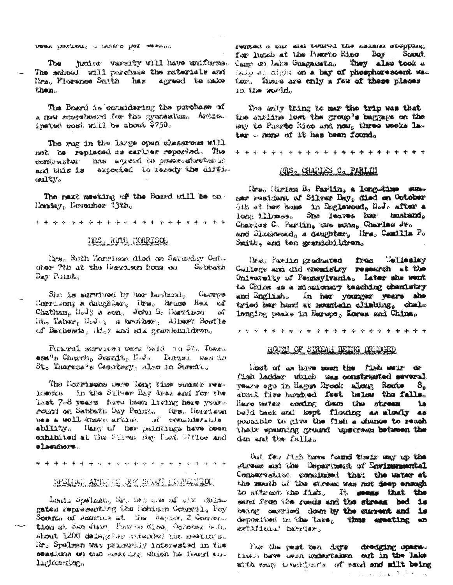MOOK PARTON'S IT INTERES INS ABOUT TO

junior varaity will have uniforms. The The school will parchase the naterials and Mrs. Florence Smith has apresd to make them

The Board is considering the prechase of a new accessboard for the gymnetime. Anthos. insted cost will be about  $2750<sub>o</sub>$ 

The rug in the large open classrows will not be replaced as earlier reported. The contraster has an each to proposition is and this is expected to resear the diffinoulev.

The next meeting of the Board will be on-Homiay, Hovember 13th.

\*\*\*\*\*\*\*\*\*\*\*\*\*\*\*\*\*\*\*\*\*\*

# INS, RUIH HORRISON

Nes. Ruth Harrison died on Saturday Ost. ober 7th at the Unrited boxs on Se bhath Day Point<sub>s</sub>

She is survived by her husband. George Horrason; a dnughter, Tres, Bruce Rax of Ift. Taber, Modes a breather, Albert Boatle of Betherds, 1kl. ? and six grantshiluren.

Funcal services text beld in St. There esa's Charch, Summit, Nov. Durand was in St. Theress's Comptery, also in Summit.

The Morrisons were Long time summer residents. In the Silver Bay Area and for the Last 7-8 years have been living here yearround on Sathath Cay Pennto, fra. Reseten MES & HOLL-KIDOWS APRILISE AN OCTABILIST LIJE ability. Hany of her paintings have been exhibited at the Silver day Past Office and alservivore.

SPETIAL ATOMIC DEV ROCE COMPANIEL

Leans Systeman, Sr. Sen was all also deliver gates representing the Hohism Connetl, Poy Scoutes of America at the Region, 2 Converstion at San Juan. Phosto Rico, October 4.0. About 1200 delagethe attended the meetings. Hr. Spelman was primarily interested in the sessions on our seconding which he fearst and lighterring.

rented e car ant tenroi the selene stopping. for lunch at the Powrto Rico Boy Sexant. Camp on Lake Guagacata, They also took a tato se aight on a bay of phosphoresoent was ter. There are only a few of these places in the world.

The enty thing to mar the trip was that the airline last the group's baggage on the may to Phores Rico and now, three weeks law tar = none of it has been faund.

## MRS. CHARLES C. PARI III

Ites, Hirlan B. Parlin, a long-time summer resident af Silver Bay, died en October Gin at her house in Englewood, NoJo after a long illumes. She leaves her husband, Charles C. Parlin, two sons, Charles Jr. and Disakwood, a daughter, itra, Camilla P. Szith, and ten grandchildren.

line. Pariin gradastod from Wellesley College and did obertatry rememen at the University of Pennsylvania. Later she went ta Chine as a missionary teaching chemistry and English. In her younger years she tried her hand at mountain alimbing, chaim lenging peaks in Barope, Korea ani China.

## HOUGH OF STREAM REING DRUDGED

Host of as have seen the fish weir or fish ladder which was constructed several years ago in Hagus Brook along Route 8, Haure metaw cording deam the stream **ia** held back and lespt flowing as slowly as possible to give the fish a change to reach their spawning ground upstress between the dem end the falls.

that few fitch have found thats way up the streme and the Department of Environmental Conservation concluded that the water at the sauth of the stream was not deep enough to attract the fight. It seems that the sand from the roads and the stream bed is being saveded down by the current and is dependent in the Lake, thus ereting an avülidelei baskiart

For the past ten days dredging upers .. times beve user undertaken ext in the lake mitte many thus hans be welcomplete was offer